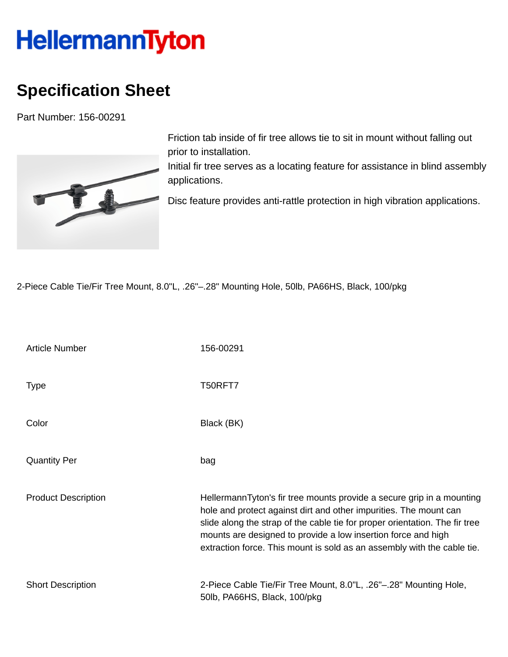## **HellermannTyton**

## **Specification Sheet**

Part Number: 156-00291



Friction tab inside of fir tree allows tie to sit in mount without falling out prior to installation.

Initial fir tree serves as a locating feature for assistance in blind assembly applications.

Disc feature provides anti-rattle protection in high vibration applications.

2-Piece Cable Tie/Fir Tree Mount, 8.0"L, .26"–.28" Mounting Hole, 50lb, PA66HS, Black, 100/pkg

| <b>Article Number</b>      | 156-00291                                                                                                                                                                                                                                                                                                                                                             |
|----------------------------|-----------------------------------------------------------------------------------------------------------------------------------------------------------------------------------------------------------------------------------------------------------------------------------------------------------------------------------------------------------------------|
| <b>Type</b>                | T50RFT7                                                                                                                                                                                                                                                                                                                                                               |
| Color                      | Black (BK)                                                                                                                                                                                                                                                                                                                                                            |
| <b>Quantity Per</b>        | bag                                                                                                                                                                                                                                                                                                                                                                   |
| <b>Product Description</b> | HellermannTyton's fir tree mounts provide a secure grip in a mounting<br>hole and protect against dirt and other impurities. The mount can<br>slide along the strap of the cable tie for proper orientation. The fir tree<br>mounts are designed to provide a low insertion force and high<br>extraction force. This mount is sold as an assembly with the cable tie. |
| <b>Short Description</b>   | 2-Piece Cable Tie/Fir Tree Mount, 8.0"L, .26"-.28" Mounting Hole,<br>50lb, PA66HS, Black, 100/pkg                                                                                                                                                                                                                                                                     |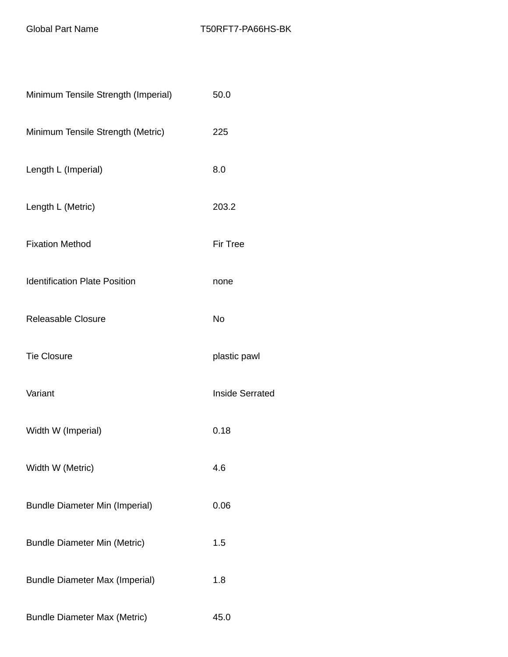| Minimum Tensile Strength (Imperial)   | 50.0                   |
|---------------------------------------|------------------------|
| Minimum Tensile Strength (Metric)     | 225                    |
| Length L (Imperial)                   | 8.0                    |
| Length L (Metric)                     | 203.2                  |
| <b>Fixation Method</b>                | <b>Fir Tree</b>        |
| <b>Identification Plate Position</b>  | none                   |
| <b>Releasable Closure</b>             | <b>No</b>              |
| <b>Tie Closure</b>                    | plastic pawl           |
| Variant                               | <b>Inside Serrated</b> |
| Width W (Imperial)                    | 0.18                   |
| Width W (Metric)                      | 4.6                    |
| <b>Bundle Diameter Min (Imperial)</b> | 0.06                   |
| <b>Bundle Diameter Min (Metric)</b>   | 1.5                    |
| <b>Bundle Diameter Max (Imperial)</b> | 1.8                    |
| <b>Bundle Diameter Max (Metric)</b>   | 45.0                   |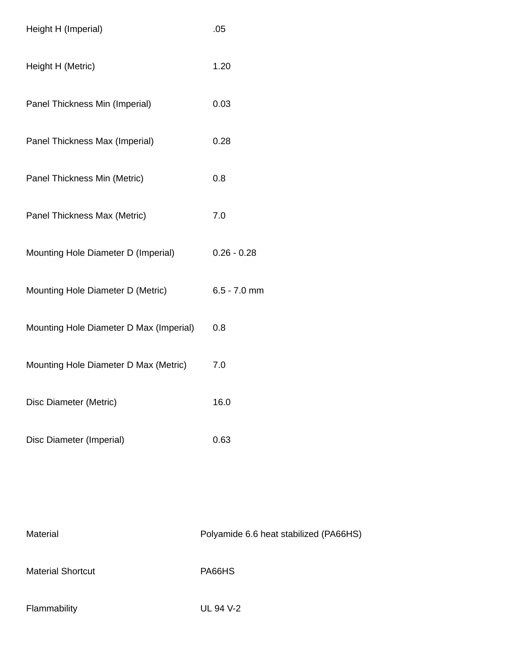| Height H (Imperial)                     | .05            |
|-----------------------------------------|----------------|
| Height H (Metric)                       | 1.20           |
| Panel Thickness Min (Imperial)          | 0.03           |
| Panel Thickness Max (Imperial)          | 0.28           |
| Panel Thickness Min (Metric)            | 0.8            |
| Panel Thickness Max (Metric)            | 7.0            |
| Mounting Hole Diameter D (Imperial)     | $0.26 - 0.28$  |
| Mounting Hole Diameter D (Metric)       | $6.5 - 7.0$ mm |
| Mounting Hole Diameter D Max (Imperial) | 0.8            |
| Mounting Hole Diameter D Max (Metric)   | 7.0            |
| Disc Diameter (Metric)                  | 16.0           |
| Disc Diameter (Imperial)                | 0.63           |
|                                         |                |

| Material                 | Polyamide 6.6 heat stabilized (PA66HS) |
|--------------------------|----------------------------------------|
| <b>Material Shortcut</b> | PA66HS                                 |
| Flammability             | UL 94 V-2                              |